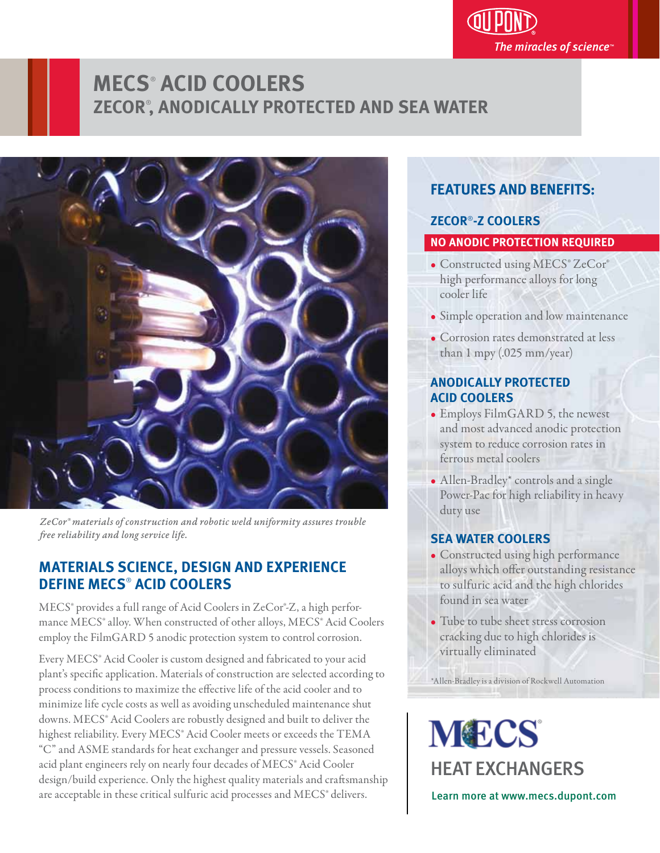

# **MECS**®  **ACID COOLERS ZECOR**® **, ANODICALLY PROTECTED AND SEA WATER**



*ZeCor® materials of construction and robotic weld uniformity assures trouble*  free reliability and long service life.

## **MATERIALS SCIENCE, DESIGN AND EXPERIENCE DEFINE MECS**®  **ACID COOLERS**

MECS® provides a full range of Acid Coolers in ZeCor®-Z, a high performance MECS® alloy. When constructed of other alloys, MECS® Acid Coolers employ the FilmGARD 5 anodic protection system to control corrosion.

Every MECS® Acid Cooler is custom designed and fabricated to your acid plant's specific application. Materials of construction are selected according to process conditions to maximize the effective life of the acid cooler and to minimize life cycle costs as well as avoiding unscheduled maintenance shut downs. MECS<sup>®</sup> Acid Coolers are robustly designed and built to deliver the highest reliability. Every MECS® Acid Cooler meets or exceeds the TEMA "C" and ASME standards for heat exchanger and pressure vessels. Seasoned acid plant engineers rely on nearly four decades of MECS® Acid Cooler design/build experience. Only the highest quality materials and craftsmanship are acceptable in these critical sulfuric acid processes and MECS® delivers.

## **FEATURES AND BENEFITS:**

## **ZECOR**®**-Z COOLERS**

## **NO ANODIC PROTECTION REQUIRED**

- Constructed using MECS® ZeCor® high performance alloys for long cooler life
- Simple operation and low maintenance ľ
- Corrosion rates demonstrated at less than 1 mpy (.025 mm/year)

## **ANODICALLY PROTECTED ACID COOLERS**

- Employs FilmGARD 5, the newest and most advanced anodic protection system to reduce corrosion rates in ferrous metal coolers
- Allen-Bradley\* controls and a single Power-Pac for high reliability in heavy duty use

## **SEA WATER COOLERS**

- Constructed using high performance alloys which offer outstanding resistance to sulfuric acid and the high chlorides found in sea water
- Tube to tube sheet stress corrosion cracking due to high chlorides is virtually eliminated

\*Allen-Bradley is a division of Rockwell Automation

**MECS** HEAT EXCHANGERS Learn more at www.mecs.dupont.com